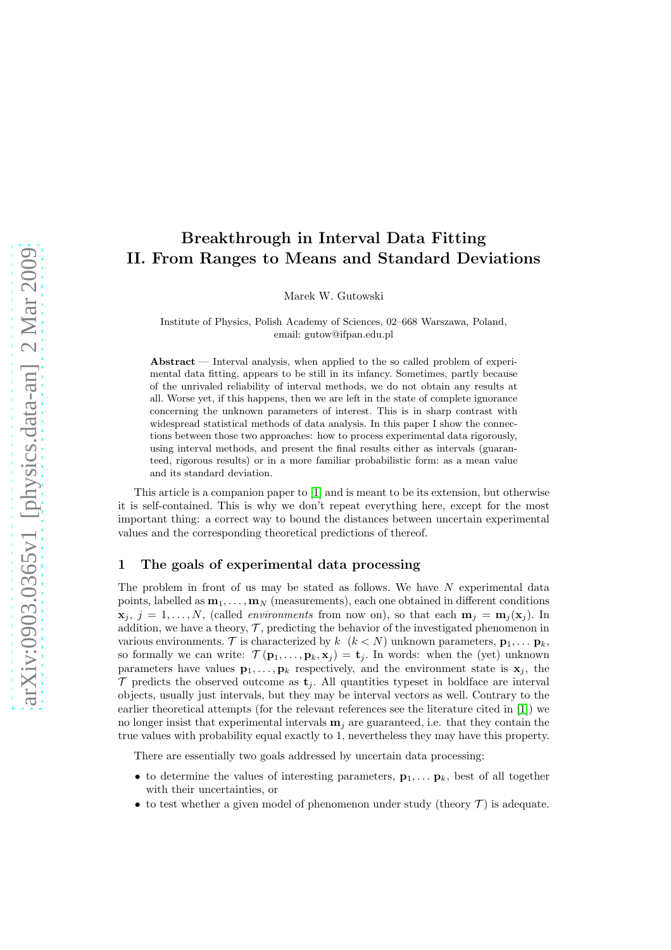# Breakthrough in Interval Data Fitting II. From Ranges to Means and Standard Deviations

Marek W. Gutowski

Institute of Physics, Polish Academy of Sciences, 02–668 Warszawa, Poland, email: gutow@ifpan.edu.pl

Abstract  $-$  Interval analysis, when applied to the so called problem of experimental data fitting, appears to be still in its infancy. Sometimes, partly because of the unrivaled reliability of interval methods, we do not obtain any results at all. Worse yet, if this happens, then we are left in the state of complete ignorance concerning the unknown parameters of interest. This is in sharp contrast with widespread statistical methods of data analysis. In this paper I show the connections between those two approaches: how to process experimental data rigorously, using interval methods, and present the final results either as intervals (guaranteed, rigorous results) or in a more familiar probabilistic form: as a mean value and its standard deviation.

This article is a companion paper to [\[1\]](#page-5-0) and is meant to be its extension, but otherwise it is self-contained. This is why we don't repeat everything here, except for the most important thing: a correct way to bound the distances between uncertain experimental values and the corresponding theoretical predictions of thereof.

## 1 The goals of experimental data processing

The problem in front of us may be stated as follows. We have  $N$  experimental data points, labelled as  $\mathbf{m}_1, \ldots, \mathbf{m}_N$  (measurements), each one obtained in different conditions  $\mathbf{x}_j, j = 1, \ldots, N$ , (called *environments* from now on), so that each  $\mathbf{m}_j = \mathbf{m}_j(\mathbf{x}_j)$ . In addition, we have a theory,  $\mathcal{T}$ , predicting the behavior of the investigated phenomenon in various environments. T is characterized by  $k \ (k \lt N)$  unknown parameters,  $\mathbf{p}_1, \ldots, \mathbf{p}_k$ , so formally we can write:  $\mathcal{T}(\mathbf{p}_1,\ldots,\mathbf{p}_k,\mathbf{x}_j) = \mathbf{t}_j$ . In words: when the (yet) unknown parameters have values  $\mathbf{p}_1, \ldots, \mathbf{p}_k$  respectively, and the environment state is  $\mathbf{x}_j$ , the  $\mathcal T$  predicts the observed outcome as  $\mathbf t_i$ . All quantities typeset in boldface are interval objects, usually just intervals, but they may be interval vectors as well. Contrary to the earlier theoretical attempts (for the relevant references see the literature cited in [\[1\]](#page-5-0)) we no longer insist that experimental intervals  $\mathbf{m}_i$  are guaranteed, i.e. that they contain the true values with probability equal exactly to 1, nevertheless they may have this property.

There are essentially two goals addressed by uncertain data processing:

- to determine the values of interesting parameters,  $\mathbf{p}_1, \ldots, \mathbf{p}_k$ , best of all together with their uncertainties, or
- to test whether a given model of phenomenon under study (theory  $\mathcal{T}$ ) is adequate.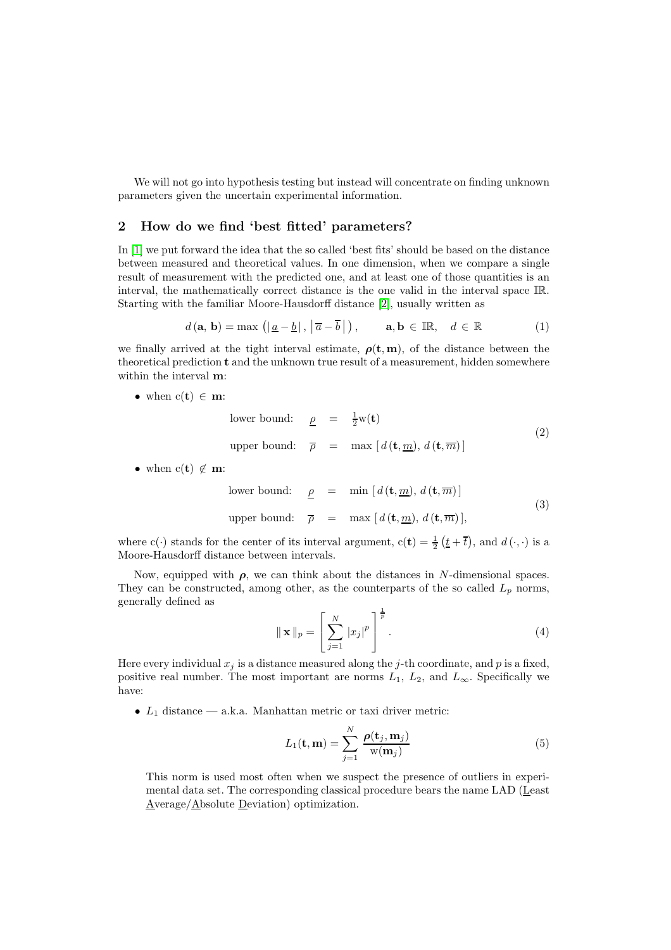We will not go into hypothesis testing but instead will concentrate on finding unknown parameters given the uncertain experimental information.

# 2 How do we find 'best fitted' parameters?

In [\[1\]](#page-5-0) we put forward the idea that the so called 'best fits' should be based on the distance between measured and theoretical values. In one dimension, when we compare a single result of measurement with the predicted one, and at least one of those quantities is an interval, the mathematically correct distance is the one valid in the interval space IR. Starting with the familiar Moore-Hausdorff distance [\[2\]](#page-5-1), usually written as

$$
d(\mathbf{a}, \mathbf{b}) = \max\left(|\underline{a} - \underline{b}|, |\overline{a} - \overline{b}|\right), \qquad \mathbf{a}, \mathbf{b} \in \mathbb{IR}, \quad d \in \mathbb{R} \tag{1}
$$

we finally arrived at the tight interval estimate,  $\rho(t, m)$ , of the distance between the theoretical prediction t and the unknown true result of a measurement, hidden somewhere within the interval m:

• when  $c(t) \in m$ :

lower bound: 
$$
\underline{\rho} = \frac{1}{2}w(\mathbf{t})
$$
  
upper bound:  $\overline{\rho} = \max [d(\mathbf{t}, \underline{m}), d(\mathbf{t}, \overline{m})]$  (2)

• when  $c(t) \notin \mathbf{m}$ :

lower bound: 
$$
\underline{\rho} = \min [d(\mathbf{t}, \underline{m}), d(\mathbf{t}, \overline{m})]
$$
  
upper bound:  $\overline{\rho} = \max [d(\mathbf{t}, \underline{m}), d(\mathbf{t}, \overline{m})],$  (3)

where c(·) stands for the center of its interval argument,  $c(t) = \frac{1}{2} (t + \overline{t})$ , and  $d(\cdot, \cdot)$  is a Moore-Hausdorff distance between intervals.

Now, equipped with  $\rho$ , we can think about the distances in N-dimensional spaces. They can be constructed, among other, as the counterparts of the so called  $L_p$  norms, generally defined as 1

$$
\|\mathbf{x}\|_{p} = \left[\sum_{j=1}^{N} |x_{j}|^{p}\right]^{\frac{1}{p}}.
$$
\n(4)

Here every individual  $x_j$  is a distance measured along the j-th coordinate, and p is a fixed, positive real number. The most important are norms  $L_1$ ,  $L_2$ , and  $L_{\infty}$ . Specifically we have:

•  $L_1$  distance — a.k.a. Manhattan metric or taxi driver metric:

$$
L_1(\mathbf{t}, \mathbf{m}) = \sum_{j=1}^{N} \frac{\rho(\mathbf{t}_j, \mathbf{m}_j)}{\mathbf{w}(\mathbf{m}_j)}
$$
(5)

This norm is used most often when we suspect the presence of outliers in experimental data set. The corresponding classical procedure bears the name LAD (Least Average/Absolute Deviation) optimization.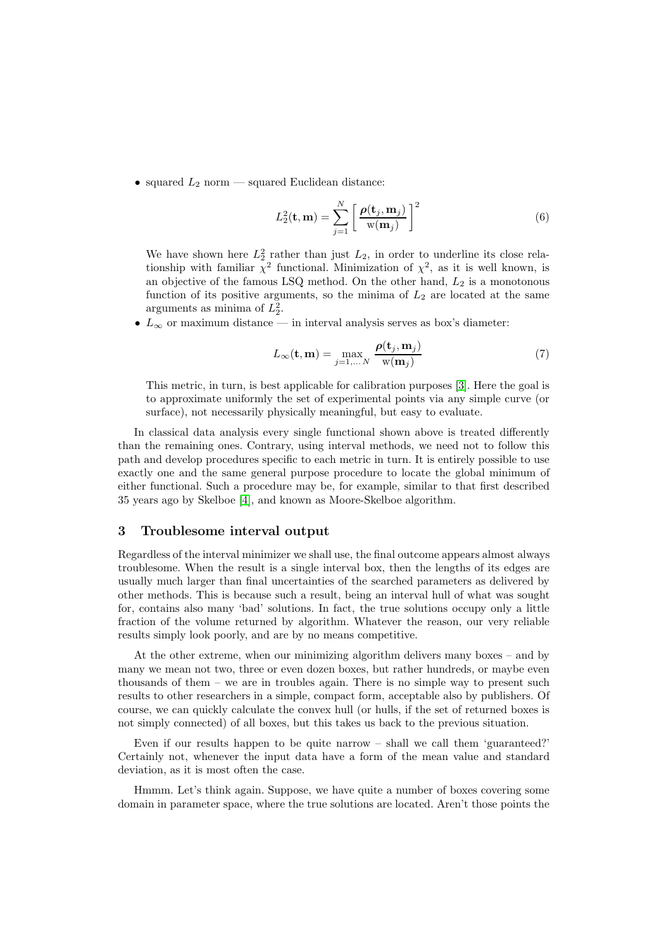• squared  $L_2$  norm — squared Euclidean distance:

$$
L_2^2(\mathbf{t}, \mathbf{m}) = \sum_{j=1}^N \left[ \frac{\rho(\mathbf{t}_j, \mathbf{m}_j)}{\mathbf{w}(\mathbf{m}_j)} \right]^2 \tag{6}
$$

We have shown here  $L_2^2$  rather than just  $L_2$ , in order to underline its close relationship with familiar  $\chi^2$  functional. Minimization of  $\chi^2$ , as it is well known, is an objective of the famous LSQ method. On the other hand,  $L_2$  is a monotonous function of its positive arguments, so the minima of  $L_2$  are located at the same arguments as minima of  $L_2^2$ .

•  $L_{\infty}$  or maximum distance — in interval analysis serves as box's diameter:

$$
L_{\infty}(\mathbf{t}, \mathbf{m}) = \max_{j=1,...,N} \frac{\rho(\mathbf{t}_j, \mathbf{m}_j)}{\mathbf{w}(\mathbf{m}_j)}
$$
(7)

This metric, in turn, is best applicable for calibration purposes [\[3\]](#page-5-2). Here the goal is to approximate uniformly the set of experimental points via any simple curve (or surface), not necessarily physically meaningful, but easy to evaluate.

In classical data analysis every single functional shown above is treated differently than the remaining ones. Contrary, using interval methods, we need not to follow this path and develop procedures specific to each metric in turn. It is entirely possible to use exactly one and the same general purpose procedure to locate the global minimum of either functional. Such a procedure may be, for example, similar to that first described 35 years ago by Skelboe [\[4\]](#page-5-3), and known as Moore-Skelboe algorithm.

## 3 Troublesome interval output

Regardless of the interval minimizer we shall use, the final outcome appears almost always troublesome. When the result is a single interval box, then the lengths of its edges are usually much larger than final uncertainties of the searched parameters as delivered by other methods. This is because such a result, being an interval hull of what was sought for, contains also many 'bad' solutions. In fact, the true solutions occupy only a little fraction of the volume returned by algorithm. Whatever the reason, our very reliable results simply look poorly, and are by no means competitive.

At the other extreme, when our minimizing algorithm delivers many boxes – and by many we mean not two, three or even dozen boxes, but rather hundreds, or maybe even thousands of them – we are in troubles again. There is no simple way to present such results to other researchers in a simple, compact form, acceptable also by publishers. Of course, we can quickly calculate the convex hull (or hulls, if the set of returned boxes is not simply connected) of all boxes, but this takes us back to the previous situation.

Even if our results happen to be quite narrow – shall we call them 'guaranteed?' Certainly not, whenever the input data have a form of the mean value and standard deviation, as it is most often the case.

Hmmm. Let's think again. Suppose, we have quite a number of boxes covering some domain in parameter space, where the true solutions are located. Aren't those points the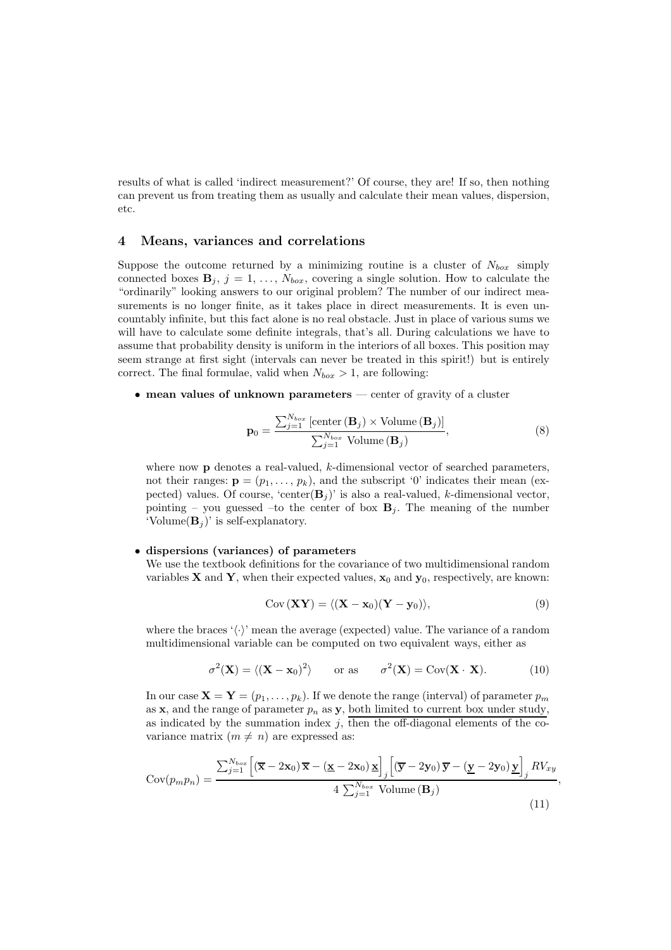results of what is called 'indirect measurement?' Of course, they are! If so, then nothing can prevent us from treating them as usually and calculate their mean values, dispersion, etc.

## 4 Means, variances and correlations

Suppose the outcome returned by a minimizing routine is a cluster of  $N_{box}$  simply connected boxes  $\mathbf{B}_j$ ,  $j = 1, \ldots, N_{box}$ , covering a single solution. How to calculate the "ordinarily" looking answers to our original problem? The number of our indirect measurements is no longer finite, as it takes place in direct measurements. It is even uncountably infinite, but this fact alone is no real obstacle. Just in place of various sums we will have to calculate some definite integrals, that's all. During calculations we have to assume that probability density is uniform in the interiors of all boxes. This position may seem strange at first sight (intervals can never be treated in this spirit!) but is entirely correct. The final formulae, valid when  $N_{box} > 1$ , are following:

• mean values of unknown parameters — center of gravity of a cluster

<span id="page-3-0"></span>
$$
\mathbf{p}_0 = \frac{\sum_{j=1}^{N_{box}} \left[ \text{center} \left( \mathbf{B}_j \right) \times \text{Volume} \left( \mathbf{B}_j \right) \right]}{\sum_{j=1}^{N_{box}} \text{Volume} \left( \mathbf{B}_j \right)},\tag{8}
$$

where now **p** denotes a real-valued, k-dimensional vector of searched parameters, not their ranges:  $\mathbf{p} = (p_1, \ldots, p_k)$ , and the subscript '0' indicates their mean (expected) values. Of course, 'center $(\mathbf{B}_i)$ ' is also a real-valued, k-dimensional vector, pointing – you guessed –to the center of box  $B_i$ . The meaning of the number 'Volume $(\mathbf{B}_i)$ ' is self-explanatory.

#### • dispersions (variances) of parameters

We use the textbook definitions for the covariance of two multidimensional random variables **X** and **Y**, when their expected values,  $x_0$  and  $y_0$ , respectively, are known:

$$
Cov(\mathbf{XY}) = \langle (\mathbf{X} - \mathbf{x}_0)(\mathbf{Y} - \mathbf{y}_0) \rangle, \tag{9}
$$

,

where the braces ' $\langle \cdot \rangle$ ' mean the average (expected) value. The variance of a random multidimensional variable can be computed on two equivalent ways, either as

$$
\sigma^{2}(\mathbf{X}) = \langle (\mathbf{X} - \mathbf{x}_{0})^{2} \rangle \quad \text{or as} \quad \sigma^{2}(\mathbf{X}) = \text{Cov}(\mathbf{X} \cdot \mathbf{X}). \quad (10)
$$

In our case  $\mathbf{X} = \mathbf{Y} = (p_1, \ldots, p_k)$ . If we denote the range (interval) of parameter  $p_m$ as  $x$ , and the range of parameter  $p_n$  as  $y$ , both limited to current box under study, as indicated by the summation index  $j$ , then the off-diagonal elements of the covariance matrix  $(m \neq n)$  are expressed as:

<span id="page-3-1"></span>
$$
Cov(p_m p_n) = \frac{\sum_{j=1}^{N_{box}} \left[ (\overline{\mathbf{x}} - 2\mathbf{x}_0) \overline{\mathbf{x}} - (\underline{\mathbf{x}} - 2\mathbf{x}_0) \underline{\mathbf{x}} \right]_j \left[ (\overline{\mathbf{y}} - 2\mathbf{y}_0) \overline{\mathbf{y}} - (\underline{\mathbf{y}} - 2\mathbf{y}_0) \underline{\mathbf{y}} \right]_j RV_{xy}}{4 \sum_{j=1}^{N_{box}} \text{ Volume}(\mathbf{B}_j)}
$$
(11)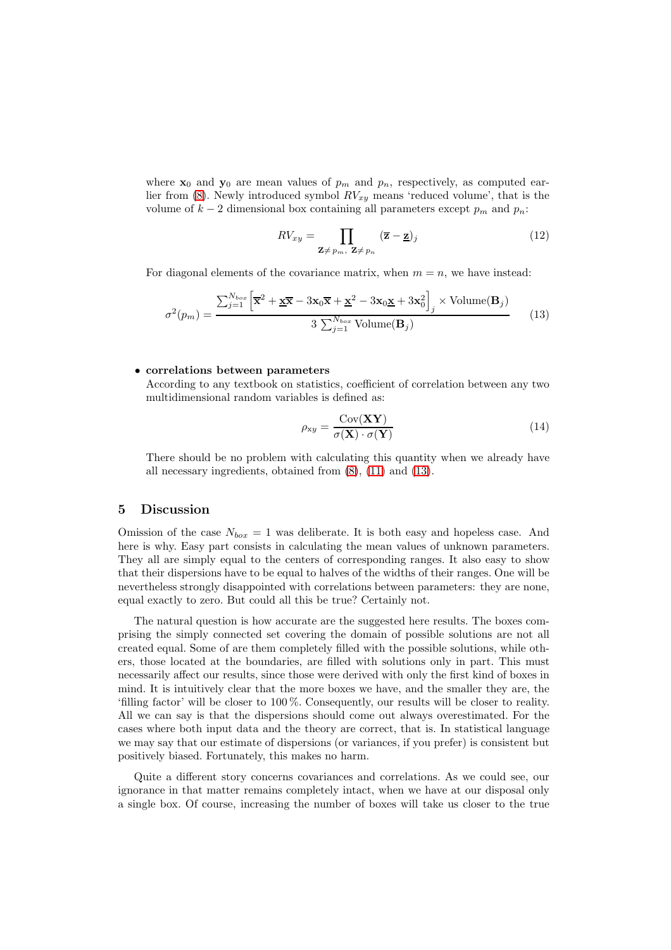where  $x_0$  and  $y_0$  are mean values of  $p_m$  and  $p_n$ , respectively, as computed ear-lier from [\(8\)](#page-3-0). Newly introduced symbol  $RV_{xy}$  means 'reduced volume', that is the volume of  $k-2$  dimensional box containing all parameters except  $p_m$  and  $p_n$ :

$$
RV_{xy} = \prod_{\mathbf{Z} \neq p_m, \ \mathbf{Z} \neq p_n} (\overline{\mathbf{z}} - \underline{\mathbf{z}})_j
$$
 (12)

For diagonal elements of the covariance matrix, when  $m = n$ , we have instead:

<span id="page-4-0"></span>
$$
\sigma^{2}(p_{m}) = \frac{\sum_{j=1}^{N_{box}} \left[ \overline{\mathbf{x}}^{2} + \underline{\mathbf{x}} \overline{\mathbf{x}} - 3 \mathbf{x}_{0} \overline{\mathbf{x}} + \underline{\mathbf{x}}^{2} - 3 \mathbf{x}_{0} \underline{\mathbf{x}} + 3 \mathbf{x}_{0}^{2} \right]_{j} \times \text{Volume}(\mathbf{B}_{j})}{3 \sum_{j=1}^{N_{box}} \text{Volume}(\mathbf{B}_{j})}
$$
(13)

#### • correlations between parameters

According to any textbook on statistics, coefficient of correlation between any two multidimensional random variables is defined as:

$$
\rho_{xy} = \frac{\text{Cov}(\mathbf{XY})}{\sigma(\mathbf{X}) \cdot \sigma(\mathbf{Y})}
$$
(14)

There should be no problem with calculating this quantity when we already have all necessary ingredients, obtained from [\(8\)](#page-3-0), [\(11\)](#page-3-1) and [\(13\)](#page-4-0).

### 5 Discussion

Omission of the case  $N_{box} = 1$  was deliberate. It is both easy and hopeless case. And here is why. Easy part consists in calculating the mean values of unknown parameters. They all are simply equal to the centers of corresponding ranges. It also easy to show that their dispersions have to be equal to halves of the widths of their ranges. One will be nevertheless strongly disappointed with correlations between parameters: they are none, equal exactly to zero. But could all this be true? Certainly not.

The natural question is how accurate are the suggested here results. The boxes comprising the simply connected set covering the domain of possible solutions are not all created equal. Some of are them completely filled with the possible solutions, while others, those located at the boundaries, are filled with solutions only in part. This must necessarily affect our results, since those were derived with only the first kind of boxes in mind. It is intuitively clear that the more boxes we have, and the smaller they are, the 'filling factor' will be closer to 100 %. Consequently, our results will be closer to reality. All we can say is that the dispersions should come out always overestimated. For the cases where both input data and the theory are correct, that is. In statistical language we may say that our estimate of dispersions (or variances, if you prefer) is consistent but positively biased. Fortunately, this makes no harm.

Quite a different story concerns covariances and correlations. As we could see, our ignorance in that matter remains completely intact, when we have at our disposal only a single box. Of course, increasing the number of boxes will take us closer to the true